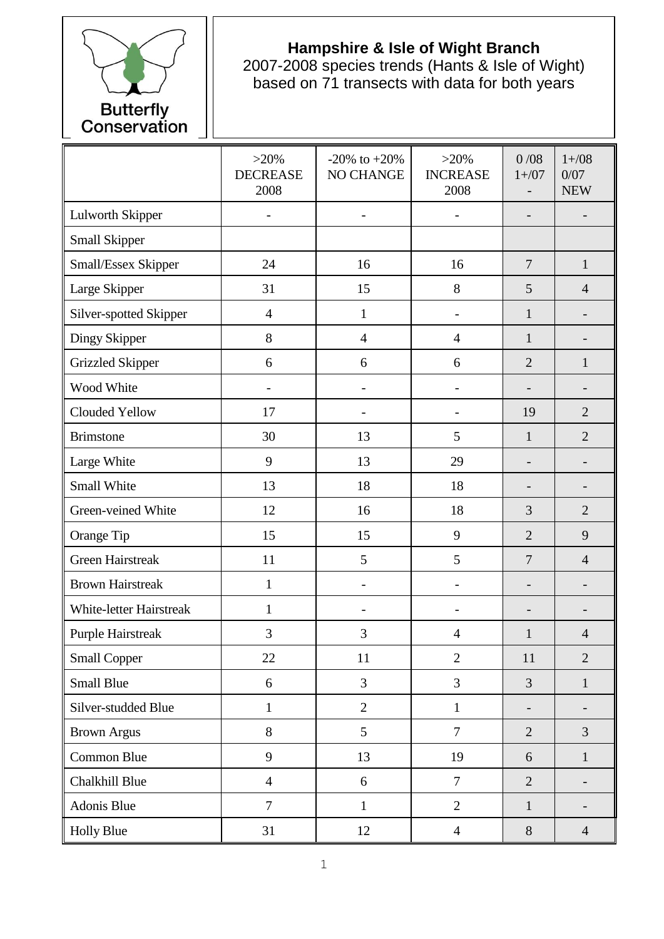

## **Hampshire & Isle of Wight Branch**

2007-2008 species trends (Hants & Isle of Wight) based on 71 transects with data for both years

|                          | $>20\%$<br><b>DECREASE</b><br>2008 | $-20\%$ to $+20\%$<br>NO CHANGE | $>20\%$<br><b>INCREASE</b><br>2008 | 0/08<br>$1 + / 07$       | $1 + / 08$<br>0/07<br><b>NEW</b> |
|--------------------------|------------------------------------|---------------------------------|------------------------------------|--------------------------|----------------------------------|
| <b>Lulworth Skipper</b>  |                                    | $\blacksquare$                  |                                    | $\overline{\phantom{0}}$ |                                  |
| Small Skipper            |                                    |                                 |                                    |                          |                                  |
| Small/Essex Skipper      | 24                                 | 16                              | 16                                 | $\overline{7}$           | $\mathbf{1}$                     |
| Large Skipper            | 31                                 | 15                              | 8                                  | 5                        | $\overline{4}$                   |
| Silver-spotted Skipper   | $\overline{4}$                     | $\mathbf{1}$                    |                                    | $\mathbf{1}$             |                                  |
| Dingy Skipper            | 8                                  | $\overline{4}$                  | $\overline{4}$                     | $\mathbf{1}$             |                                  |
| <b>Grizzled Skipper</b>  | 6                                  | 6                               | 6                                  | $\overline{2}$           | $\mathbf{1}$                     |
| Wood White               |                                    |                                 |                                    |                          |                                  |
| Clouded Yellow           | 17                                 |                                 |                                    | 19                       | $\overline{2}$                   |
| <b>Brimstone</b>         | 30                                 | 13                              | 5                                  | $\mathbf{1}$             | $\overline{2}$                   |
| Large White              | 9                                  | 13                              | 29                                 | $\overline{a}$           |                                  |
| Small White              | 13                                 | 18                              | 18                                 | $\overline{a}$           |                                  |
| Green-veined White       | 12                                 | 16                              | 18                                 | 3                        | $\overline{2}$                   |
| Orange Tip               | 15                                 | 15                              | 9                                  | $\overline{2}$           | 9                                |
| <b>Green Hairstreak</b>  | 11                                 | 5                               | 5                                  | $\overline{7}$           | $\overline{4}$                   |
| <b>Brown Hairstreak</b>  | $\mathbf{1}$                       | $\overline{\phantom{a}}$        | $\overline{\phantom{0}}$           | $\overline{\phantom{0}}$ | $\overline{a}$                   |
| White-letter Hairstreak  | $\mathbf{1}$                       |                                 | $\overline{a}$                     | -                        |                                  |
| <b>Purple Hairstreak</b> | 3                                  | 3                               | $\overline{4}$                     | $\mathbf{1}$             | $\overline{4}$                   |
| <b>Small Copper</b>      | 22                                 | 11                              | $\overline{2}$                     | 11                       | $\overline{2}$                   |
| <b>Small Blue</b>        | 6                                  | 3                               | 3                                  | 3                        | $\mathbf{1}$                     |
| Silver-studded Blue      | $\mathbf{1}$                       | $\mathbf{2}$                    | $\mathbf{1}$                       | $\overline{\phantom{0}}$ |                                  |
| <b>Brown Argus</b>       | 8                                  | 5                               | $\overline{7}$                     | $\overline{2}$           | $\overline{3}$                   |
| Common Blue              | 9                                  | 13                              | 19                                 | 6                        | $\mathbf{1}$                     |
| Chalkhill Blue           | $\overline{4}$                     | $\boldsymbol{6}$                | $\overline{7}$                     | $\overline{2}$           |                                  |
| Adonis Blue              | $\overline{7}$                     | $\mathbf{1}$                    | $\overline{2}$                     | $\mathbf{1}$             | $\qquad \qquad \blacksquare$     |
| <b>Holly Blue</b>        | 31                                 | 12                              | $\overline{4}$                     | 8                        | $\overline{4}$                   |